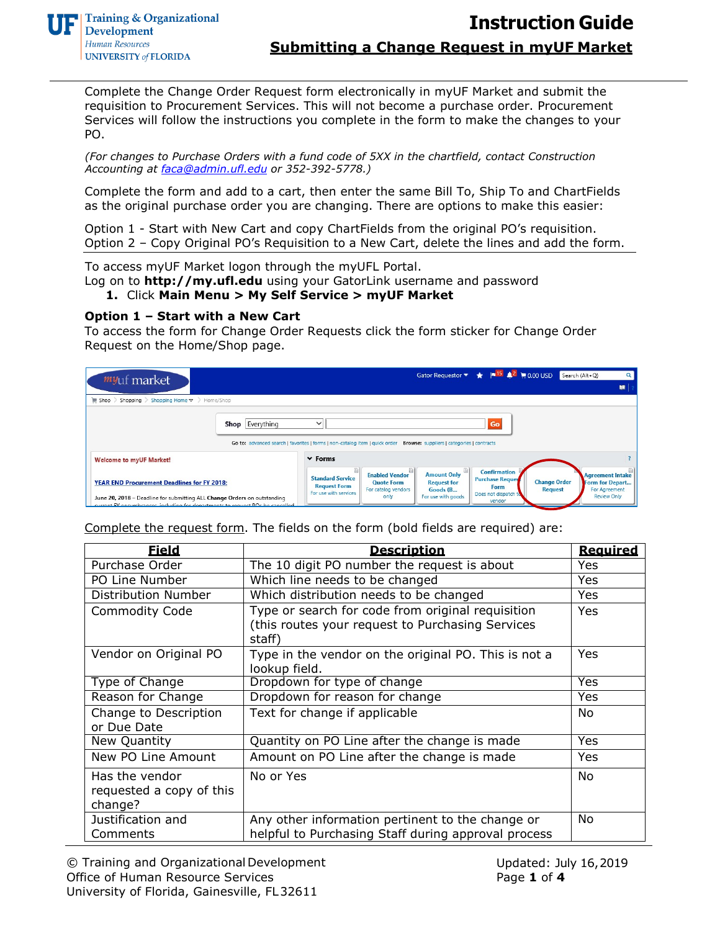

Complete the Change Order Request form electronically in myUF Market and submit the requisition to Procurement Services. This will not become a purchase order. Procurement Services will follow the instructions you complete in the form to make the changes to your PO.

*(For changes to Purchase Orders with a fund code of 5XX in the chartfield, contact Construction Accounting at [faca@admin.ufl.edu](mailto:faca@admin.ufl.edu) or 352-392-5778.)*

Complete the form and add to a cart, then enter the same Bill To, Ship To and ChartFields as the original purchase order you are changing. There are options to make this easier:

Option 1 - Start with New Cart and copy ChartFields from the original PO's requisition. Option 2 – Copy Original PO's Requisition to a New Cart, delete the lines and add the form.

To access myUF Market logon through the myUFL Portal.

Log on to **[http://my.ufl.edu](http://my.ufl.edu/)** using your GatorLink username and password

**1.** Click **Main Menu > My Self Service > myUF Market**

## **Option 1 – Start with a New Cart**

To access the form for Change Order Requests click the form sticker for Change Order Request on the Home/Shop page.

| myuf market                                                                                                                                                |                                                                                                                                                   | Gator Requestor $\star$ $\star$   15 4 <sup>2</sup>   0.00 USD |                                                                               |                                       | Search (Alt+Q)<br>$\alpha$                                  |
|------------------------------------------------------------------------------------------------------------------------------------------------------------|---------------------------------------------------------------------------------------------------------------------------------------------------|----------------------------------------------------------------|-------------------------------------------------------------------------------|---------------------------------------|-------------------------------------------------------------|
|                                                                                                                                                            |                                                                                                                                                   |                                                                |                                                                               |                                       | 願                                                           |
| Shopping > Shopping Home $\triangledown$ > Home/Shop<br>$\equiv$ Shop                                                                                      |                                                                                                                                                   |                                                                |                                                                               |                                       |                                                             |
| Shop Everything                                                                                                                                            | $\check{ }$                                                                                                                                       |                                                                | Go                                                                            |                                       |                                                             |
|                                                                                                                                                            |                                                                                                                                                   |                                                                |                                                                               |                                       |                                                             |
|                                                                                                                                                            | Go to: advanced search   favorites   forms   non-catalog item   quick order                                                                       | <b>Browse:</b> suppliers   categories   contracts              |                                                                               |                                       |                                                             |
| <b>Welcome to myUF Market!</b>                                                                                                                             | $\times$ Forms                                                                                                                                    |                                                                |                                                                               |                                       |                                                             |
| <b>YEAR END Procurement Deadlines for FY 2018:</b>                                                                                                         | 目<br><b>Enabled Vendor</b><br><b>Standard Service</b><br><b>Quote Form</b><br><b>Request Form</b><br>For catalog vendors<br>For use with services | a<br><b>Amount Only</b><br><b>Request for</b><br>Goods (B      | <b>Confirmation</b><br><b>Purchase Reques</b><br>Form<br>Does not dispatch to | <b>Change Order</b><br><b>Request</b> | <b>Agreement Intake</b><br>Form for Depart<br>For Agreement |
| June 20, 2018 - Deadline for submitting ALL Change Orders on outstanding<br>current EV encumbrances, including for departments to request POs be cancelled | only                                                                                                                                              | For use with goods                                             | vendor                                                                        |                                       | <b>Review Only</b>                                          |

Complete the request form. The fields on the form (bold fields are required) are:

| <b>Field</b>                                          | <b>Description</b>                                                                                              | <b>Reauired</b> |
|-------------------------------------------------------|-----------------------------------------------------------------------------------------------------------------|-----------------|
| Purchase Order                                        | The 10 digit PO number the request is about                                                                     | Yes             |
| PO Line Number                                        | Which line needs to be changed                                                                                  | Yes             |
| Distribution Number                                   | Which distribution needs to be changed                                                                          | <b>Yes</b>      |
| <b>Commodity Code</b>                                 | Type or search for code from original requisition<br>(this routes your request to Purchasing Services<br>staff) | Yes             |
| Vendor on Original PO                                 | Type in the vendor on the original PO. This is not a<br>lookup field.                                           | Yes             |
| Type of Change                                        | Dropdown for type of change                                                                                     | Yes             |
| Reason for Change                                     | Dropdown for reason for change                                                                                  | Yes             |
| Change to Description<br>or Due Date                  | Text for change if applicable                                                                                   | No.             |
| New Quantity                                          | Quantity on PO Line after the change is made                                                                    | Yes             |
| New PO Line Amount                                    | Amount on PO Line after the change is made                                                                      | Yes             |
| Has the vendor<br>requested a copy of this<br>change? | No or Yes                                                                                                       | No.             |
| Justification and<br>Comments                         | Any other information pertinent to the change or<br>helpful to Purchasing Staff during approval process         | No.             |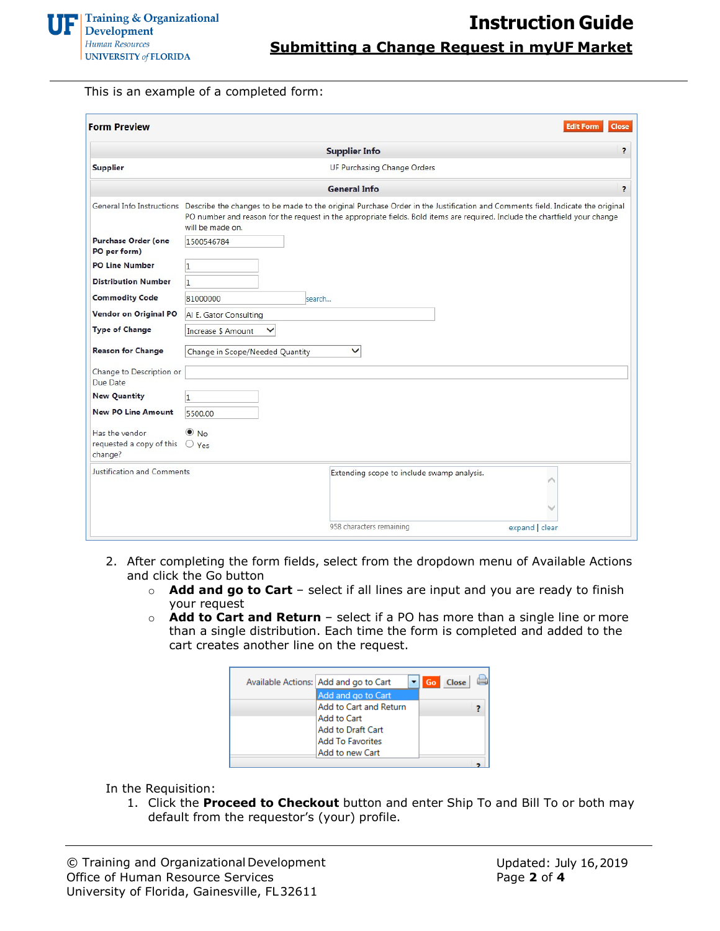

### This is an example of a completed form:

|                                                       |                                 | <b>Supplier Info</b>                                                                                                                                                                                                                                                                   | Ž.             |
|-------------------------------------------------------|---------------------------------|----------------------------------------------------------------------------------------------------------------------------------------------------------------------------------------------------------------------------------------------------------------------------------------|----------------|
| <b>Supplier</b>                                       |                                 | UF Purchasing Change Orders                                                                                                                                                                                                                                                            |                |
|                                                       |                                 | <b>General Info</b>                                                                                                                                                                                                                                                                    | ?              |
|                                                       | will be made on.                | General Info Instructions Describe the changes to be made to the original Purchase Order in the Justification and Comments field. Indicate the original<br>PO number and reason for the request in the appropriate fields. Bold items are required. Include the chartfield your change |                |
| <b>Purchase Order (one</b><br>PO per form)            | 1500546784                      |                                                                                                                                                                                                                                                                                        |                |
| <b>PO Line Number</b>                                 | $\overline{1}$                  |                                                                                                                                                                                                                                                                                        |                |
| <b>Distribution Number</b>                            | $\mathbf{1}$                    |                                                                                                                                                                                                                                                                                        |                |
| <b>Commodity Code</b>                                 | 81000000                        | search                                                                                                                                                                                                                                                                                 |                |
| Vendor on Original PO                                 | AI E. Gator Consulting          |                                                                                                                                                                                                                                                                                        |                |
| <b>Type of Change</b>                                 | <b>Increase \$ Amount</b>       |                                                                                                                                                                                                                                                                                        |                |
| <b>Reason for Change</b>                              | Change in Scope/Needed Quantity | ◡                                                                                                                                                                                                                                                                                      |                |
| Change to Description or<br>Due Date                  |                                 |                                                                                                                                                                                                                                                                                        |                |
| <b>New Quantity</b>                                   |                                 |                                                                                                                                                                                                                                                                                        |                |
| <b>New PO Line Amount</b>                             | 5500.00                         |                                                                                                                                                                                                                                                                                        |                |
| Has the vendor<br>requested a copy of this<br>change? | $\odot$ No<br>$\bigcirc$ Yes    |                                                                                                                                                                                                                                                                                        |                |
| Justification and Comments                            |                                 | Extending scope to include swamp analysis.                                                                                                                                                                                                                                             |                |
|                                                       |                                 |                                                                                                                                                                                                                                                                                        |                |
|                                                       |                                 | 958 characters remaining                                                                                                                                                                                                                                                               | expand   clear |

- 2. After completing the form fields, select from the dropdown menu of Available Actions and click the Go button
	- o **Add and go to Cart**  select if all lines are input and you are ready to finish your request
	- o **Add to Cart and Return**  select if a PO has more than a single line or more than a single distribution. Each time the form is completed and added to the cart creates another line on the request.

| Available Actions: Add and go to Cart                      | $\sim$ | Go | Close |  |
|------------------------------------------------------------|--------|----|-------|--|
| Add and go to Cart                                         |        |    |       |  |
| Add to Cart and Return<br>Add to Cart<br>Add to Draft Cart |        |    |       |  |
| <b>Add To Favorites</b><br>Add to new Cart                 |        |    |       |  |

### In the Requisition:

1. Click the **Proceed to Checkout** button and enter Ship To and Bill To or both may default from the requestor's (your) profile.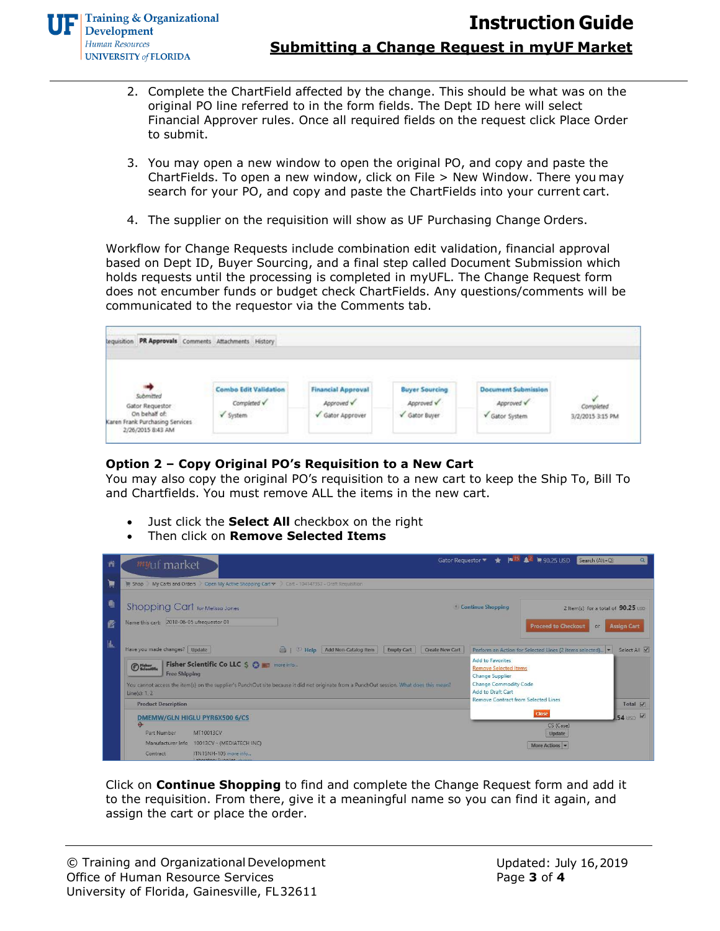

- 2. Complete the ChartField affected by the change. This should be what was on the original PO line referred to in the form fields. The Dept ID here will select Financial Approver rules. Once all required fields on the request click Place Order to submit.
- 3. You may open a new window to open the original PO, and copy and paste the ChartFields. To open a new window, click on File > New Window. There you may search for your PO, and copy and paste the ChartFields into your current cart.
- 4. The supplier on the requisition will show as UF Purchasing Change Orders.

Workflow for Change Requests include combination edit validation, financial approval based on Dept ID, Buyer Sourcing, and a final step called Document Submission which holds requests until the processing is completed in myUFL. The Change Request form does not encumber funds or budget check ChartFields. Any questions/comments will be communicated to the requestor via the Comments tab.

| bequisition                                                                                           | PR Approvals Comments Attachments History                                          |                                                                                  |                                                                 |                                                                               |                                                   |
|-------------------------------------------------------------------------------------------------------|------------------------------------------------------------------------------------|----------------------------------------------------------------------------------|-----------------------------------------------------------------|-------------------------------------------------------------------------------|---------------------------------------------------|
| Submitted<br>Gator Requestor<br>On behalf of:<br>Karen Frank Purchasing Services<br>2/26/2015 8:43 AM | <b>Combo Edit Validation</b><br>Completed V<br>$\checkmark$ System<br><b>STOLE</b> | <b>Financial Approval</b><br>Approved v<br>Gator Approver<br><b>CARD COMPANY</b> | <b>Buyer Sourcing</b><br>Approved V<br>$\checkmark$ Gator Buyer | <b>Document Submission</b><br>Approved V<br>Gator System<br>a based on Holden | Completed<br>3/2/2015 3:15 PM<br>정신화 연주 사이 사이를 살았 |

# **Option 2 – Copy Original PO's Requisition to a New Cart**

You may also copy the original PO's requisition to a new cart to keep the Ship To, Bill To and Chartfields. You must remove ALL the items in the new cart.

- Just click the **Select All** checkbox on the right
- Then click on **Remove Selected Items**



Click on **Continue Shopping** to find and complete the Change Request form and add it to the requisition. From there, give it a meaningful name so you can find it again, and assign the cart or place the order.